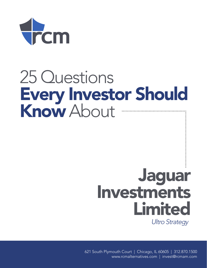

## 25 Questions Every Investor Should Know About

# Jaguar Investments Limited *Ultro Strategy*

621 South Plymouth Court | Chicago, IL 60605 | 312.870.1500 www.rcmalternatives.com | invest@rcmam.com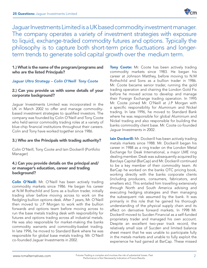

Jaguar Investments Limited is a UK based commodity investment manager. The company operates a variety of investment strategies with exposure to liquid, exchange-traded commodity futures and options. Typically the philosophy is to capture both short-term price fluctuations and longerterm trends to generate solid capital growth over the medium term.

#### 1.) What is the name of the program/programs and who are the listed Principals?

#### *Jaguar Ultro Strategy – Colin O'Neill Tony Coote*

#### 2.) Can you provide us with some details of your corporate background?

Jaguar Investments Limited was incorporated in the UK in March 2002 to offer and manage commoditybased investment strategies to qualified investors. The company was founded by Colin O'Neill and Tony Coote who held senior commodity trading roles at a variety of blue-chip financial institutions throughout their careers. Colin and Tony have worked together since 1986.

#### 3.) Who are the Principals with trading authority?

Colin O'Neill, Tony Coote and Iain Dockerill (Portfolio Manager)

#### 4.) Can you provide details on the principal and/ or manager's education, career and trading background?

Colin O'Neill: Mr. O'Neill has been actively trading commodity markets since 1986. He began his career at N.M Rothschild and Sons as a bullion trader, initially trading silver before moving across to work on the fledgling bullion options desk. After 7 years, Mr. O'Neill then moved to J.P Morgan to work with the bullion forwards and options team before moving across to run the base metals trading desk with responsibility for futures and options trading across all industrial metals. He was also responsible for market-making the banks commodity warrants and commodity-basket trading. In late 1996, he moved to Standard Bank where he was responsible for global base metals trading. Mr. O'Neill co-founded Jaguar Investments in 2002.

**Tony Coote:** Mr. Coote has been actively trading commodity markets since 1983. He began his career at Johnson Matthey, before moving to N.M Rothschild and Sons as a bullion trader in 1986. Mr. Coote became senior trader, running the gold trading operation and chairing the London Gold Fix before he moved across to develop and manage their Foreign Exchange trading operation. In 1995 Mr. Coote joined Mr. O'Neill at J.P Morgan with a specific responsibility for Aluminium and Nickel trading. In late 1996, he moved to Standard Bank where he was responsible for global Aluminium and Nickel trading and also responsible for building the banks commodity client base. Mr. Coote co-founded Jaguar Investments in 2002.

**Iain Dockerill:** Mr. Dockerill has been actively trading metals markets since 1988. Mr. Dockerill began his career in 1988 as a ring trader on the London Metal Exchange for Deak International, a major LME ring dealing member. Deak was subsequently acquired by Barclays Capital (BarCap) and Mr. Dockerill continued to be a key member of their commodity team. At BarCap he worked on the banks OTC pricing book, working directly with the banks corporate clients (including producers, consumers, fabricators, and smelters etc). This entailed him travelling extensively through North and South America advising and executing hedging strategies and then managing the subsequent risk assumed by the bank. It was primarily in this role that he gained his thorough understanding of the physical supply chain and its effect on derivative forward markets. In 1998 Mr. Dockerill moved to Sucden Financial as a self-funded proprietary trader and managed his own account. Despite an excellent two-year track record, the relatively small size of Sucden and limited balance sheet meant that he was unable to participate fully in the metals markets and unable to fully exploit the experience he had gained at BarCap. These missed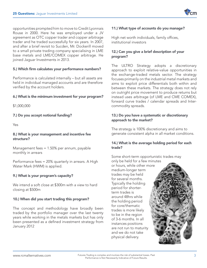opportunities prompted him to move to Credit Lyonnais Rouse in 2000. Here he was employed under a JV agreement as OTC copper trader and copper arbitrage trader and he traded successfully for six years. In 2007, and after a brief revisit to Sucden, Mr. Dockerill moved to a small private trading company specialising in LME base metals and LME/COMEX copper arbitrage. He joined Jaguar Investments in 2013.

#### 5.) Which firm calculates your performance numbers?

Performance is calculated internally – but all assets are held in individual managed accounts and are therefore verified by the account holders.

#### 6.) What is the minimum investment for your program?

\$1,000,000

#### 7.) Do you accept notional funding?

Yes

#### 8.) What is your management and incentive fee structure?

Management fees = 1.50% per annum, payable monthly in arrears

Performance fees = 20% quarterly in arrears. A High Water Mark (HWM) is applied.

#### 9.) What is your program's capacity?

We intend a soft close at \$300m with a view to hard closing at \$500m

#### 10.) When did you start trading this program?

The concept and methodology have broadly been traded by the portfolio manager over the last twenty years while working in the metals markets but has only been presented as a defined investment strategy from January 2012

#### 11.) What type of accounts do you manage?

High net worth individuals, family offices, institutional investors

#### 12.) Can you give a brief description of your program?

The ULTRO Strategy adopts a discretionary approach to exploit relative-value opportunities in the exchange-traded metals sector. The strategy focuses primarily on the industrial metal markets and aims to exploit price differentials both within and between these markets. The strategy does not rely on outright price movement to produce returns but instead uses arbitrage (of LME and CME COMEX), forward curve trades / calendar spreads and Intercommodity spreads.

#### 13.) Do you have a systematic or discretionary approach to the market?

The strategy is 100% discretionary and aims to generate consistent alpha in all market conditions.

#### 14.) What is the average holding period for each trade?

Some short-term opportunistic trades may

only be held for a few minutes or hours, while other more medium-longer term trades may be held for several months. Typically the holding period for shorterterm trades is around 48hrs while the holding period for core/thematic trades is more likely to be in the region of 3-6 months. In all instances positions are not run to maturity and we do not take physical delivery.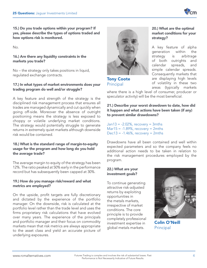

15.) Do you trade options within your program? If yes, please describe the types of options traded and how options risk is monitored.

No.

#### 16.) Are there any liquidity constraints in the markets you trade?

No – the strategy only takes positions in liquid, regulated exchange contracts.

#### 17.) In what types of market environments does your trading program do well and/or struggle?

A key feature and strength of the strategy is the disciplined risk management process that ensures all trades are managed dynamically and cut quickly when going off-side. Moreover the absence of outright positioning means the strategy is less exposed to choppy or volatile underlying market conditions. The strategy would potentially struggle to generate returns in extremely quiet markets although downside risk would be contained.

#### 18.) What is the standard range of margin-to-equity usage for the program and how long do you hold the average trade?

The average margin to equity of the strategy has been 12%. The ratio peaked at 50% early in the performance record but has subsequently been capped at 30%.

#### 19.) How do you manage risk/reward and what metrics are employed?

On the upside, profit targets are fully discretionary and dictated by the experience of the portfolio manager. On the downside, risk is calculated at the portfolio level rather than the trade level and uses the firms proprietary risk calculations that have evolved over many years. The experience of the principals and portfolio manager and their focus on commodity markets mean that risk metrics are always appropriate to the asset class and yield an accurate picture of underlying exposures.



Tony Coote Principal

20.) What are the optimal market conditions for your strategy?

A key feature of alpha generation within the strategy is arbitrage of both outrights and calendar spreads, and simple calendar spreads. Consequently markets that are displaying high levels of volatility in these two areas (typically markets

where there is a high level of consumer, producer or speculator activity) will be the most beneficial.

21.) Describe your worst drawdown to date, how did it happen and what actions have been taken (if any) to prevent similar drawdowns?

 $Jan13 = -2.02\%$ , recovery = 3mths  $Mar15 = -1.89\%$ , recovery = 2mths  $Dec13 = -1.46\%$ , recovery = 2mths

Drawdowns have all been contained and well within expected parameters and so the company feels no additional action needs to be taken in relation to the risk management procedures employed by the program.

#### 22.) What are your investment goals?

To continue generating attractive risk-adjusted returns by exploiting opportunities in the metals markets, irrespective of market conditions. The core principle is to provide completely professional investment expertise in global metals markets.



Colin O'Neill Principal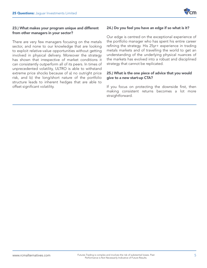

#### 23.) What makes your program unique and different from other managers in your sector?

There are very few managers focusing on the metals sector, and none to our knowledge that are looking to exploit relative-value opportunities without getting involved in physical delivery. Moreover the strategy has shown that irrespective of market conditions it can consistently outperform all of its peers. In times of unprecedented volatility, ULTRO is able to withstand extreme price shocks because of a) no outright price risk, and b) the long/short nature of the portfolio structure leads to inherent hedges that are able to offset significant volatility.

#### 24.) Do you feel you have an edge if so what is it?

Our edge is centred on the exceptional experience of the portfolio manager who has spent his entire career refining the strategy. His 25yr+ experience in trading metals markets and of travelling the world to get an understanding of the underlying physical nuances of the markets has evolved into a robust and disciplined strategy that cannot be replicated.

#### 25.) What is the one piece of advice that you would give to a new start-up CTA?

If you focus on protecting the downside first, then making consistent returns becomes a lot more straightforward.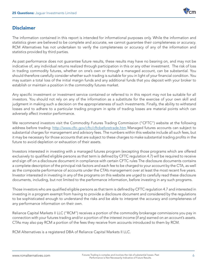

#### **Disclaimer**

The information contained in this report is intended for informational purposes only. While the information and statistics given are believed to be complete and accurate, we cannot guarantee their completeness or accuracy. RCM Alternatives has not undertaken to verify the completeness or accuracy of any of the information and statistics provided by third parties.

As past performance does not guarantee future results, these results may have no bearing on, and may not be indicative of, any individual returns realized through participation in this or any other investment. The risk of loss in trading commodity futures, whether on one's own or through a managed account, can be substantial. You should therefore carefully consider whether such trading is suitable for you in light of your financial condition. You may sustain a total loss of the initial margin funds and any additional funds that you deposit with your broker to establish or maintain a position in the commodity futures market.

Any specific investment or investment service contained or referred to in this report may not be suitable for all investors. You should not rely on any of the information as a substitute for the exercise of your own skill and judgment in making such a decision on the appropriateness of such investments. Finally, the ability to withstand losses and to adhere to a particular trading program in spite of trading losses are material points which can adversely affect investor performance.

We recommend investors visit the Commodity Futures Trading Commission ("CFTC") website at the following address before trading: http://www.cftc.gov/cftc/cftcbeforetrade.htm Managed futures accounts can subject to substantial charges for management and advisory fees. The numbers within this website include all such fees, but it may be necessary for those accounts that are subject to these charges to make substantial trading profits in the future to avoid depletion or exhaustion of their assets.

Investors interested in investing with a managed futures program (excepting those programs which are offered exclusively to qualified eligible persons as that term is defined by CFTC regulation 4.7) will be required to receive and sign off on a disclosure document in compliance with certain CFTC rules The disclosure documents contains a complete description of the principal risk factors and each fee to be charged to your account by the CTA, as well as the composite performance of accounts under the CTA's management over at least the most recent five years. Investor interested in investing in any of the programs on this website are urged to carefully read these disclosure documents, including, but not limited to the performance information, before investing in any such programs.

Those investors who are qualified eligible persons as that term is defined by CFTC regulation 4.7 and interested in investing in a program exempt from having to provide a disclosure document and considered by the regulations to be sophisticated enough to understand the risks and be able to interpret the accuracy and completeness of any performance information on their own.

Reliance Capital Markets II LLC ("RCM") receives a portion of the commodity brokerage commissions you pay in connection with your futures trading and/or a portion of the interest income (if any) earned on an account's assets. CTAs may also pay RCM a portion of the fees they receive from accounts introduced to them by RCM.

RCM Alternatives is a registered DBA of Reliance Capital Markets II LLC.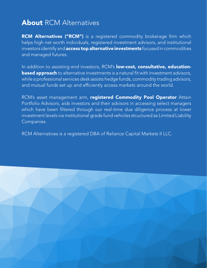### **About RCM Alternatives**

RCM Alternatives ("RCM") is a registered commodity brokerage firm which helps high net worth individuals, registered investment advisors, and institutional investors identify and **access top alternative investments** focused in commodities and managed futures.

In addition to assisting end investors, RCM's low-cost, consultative, education**based approach** to alternative investments is a natural fit with investment advisors, while a professional services desk assists hedge funds, commodity trading advisors, and mutual funds set up and efficiently access markets around the world.

RCM's asset management arm, registered Commodity Pool Operator Attain Portfolio Advisors, aids investors and their advisors in accessing select managers which have been filtered through our real-time due diligence process at lower investment levels via institutional grade fund vehicles structured as Limited Liability Companies.

RCM Alternatives is a registered DBA of Reliance Capital Markets II LLC.